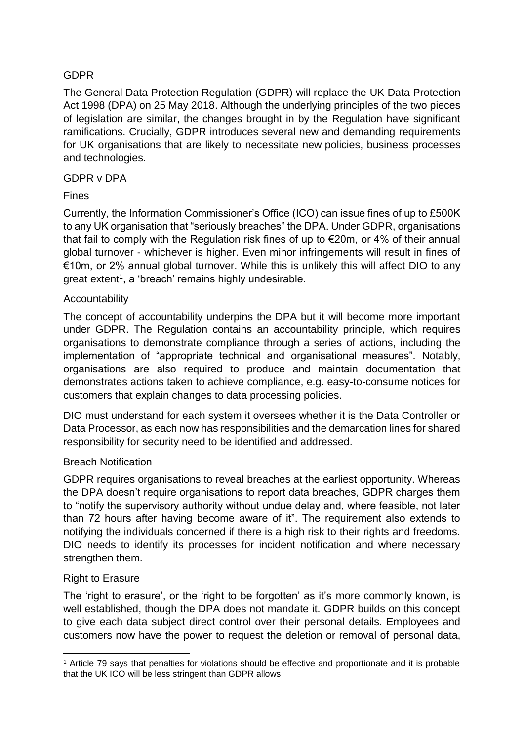## GDPR

The General Data Protection Regulation (GDPR) will replace the UK Data Protection Act 1998 (DPA) on 25 May 2018. Although the underlying principles of the two pieces of legislation are similar, the changes brought in by the Regulation have significant ramifications. Crucially, GDPR introduces several new and demanding requirements for UK organisations that are likely to necessitate new policies, business processes and technologies.

### GDPR v DPA

## Fines

Currently, the Information Commissioner's Office (ICO) can issue fines of up to £500K to any UK organisation that "seriously breaches" the DPA. Under GDPR, organisations that fail to comply with the Regulation risk fines of up to €20m, or 4% of their annual global turnover - whichever is higher. Even minor infringements will result in fines of  $€10m$ , or 2% annual global turnover. While this is unlikely this will affect DIO to any great extent<sup>1</sup>, a 'breach' remains highly undesirable.

## Accountability

The concept of accountability underpins the DPA but it will become more important under GDPR. The Regulation contains an accountability principle, which requires organisations to demonstrate compliance through a series of actions, including the implementation of "appropriate technical and organisational measures". Notably, organisations are also required to produce and maintain documentation that demonstrates actions taken to achieve compliance, e.g. easy-to-consume notices for customers that explain changes to data processing policies.

DIO must understand for each system it oversees whether it is the Data Controller or Data Processor, as each now has responsibilities and the demarcation lines for shared responsibility for security need to be identified and addressed.

### Breach Notification

GDPR requires organisations to reveal breaches at the earliest opportunity. Whereas the DPA doesn't require organisations to report data breaches, GDPR charges them to "notify the supervisory authority without undue delay and, where feasible, not later than 72 hours after having become aware of it". The requirement also extends to notifying the individuals concerned if there is a high risk to their rights and freedoms. DIO needs to identify its processes for incident notification and where necessary strengthen them.

### Right to Erasure

The 'right to erasure', or the 'right to be forgotten' as it's more commonly known, is well established, though the DPA does not mandate it. GDPR builds on this concept to give each data subject direct control over their personal details. Employees and customers now have the power to request the deletion or removal of personal data,

<sup>1</sup> <sup>1</sup> Article 79 says that penalties for violations should be effective and proportionate and it is probable that the UK ICO will be less stringent than GDPR allows.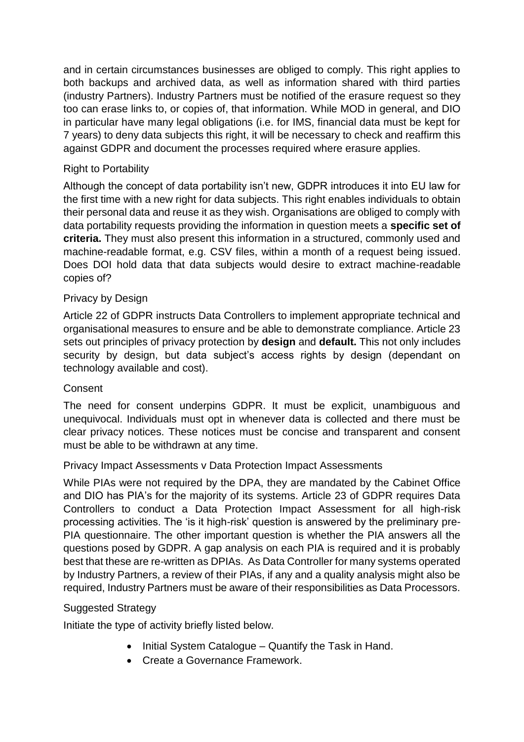and in certain circumstances businesses are obliged to comply. This right applies to both backups and archived data, as well as information shared with third parties (industry Partners). Industry Partners must be notified of the erasure request so they too can erase links to, or copies of, that information. While MOD in general, and DIO in particular have many legal obligations (i.e. for IMS, financial data must be kept for 7 years) to deny data subjects this right, it will be necessary to check and reaffirm this against GDPR and document the processes required where erasure applies.

# Right to Portability

Although the concept of data portability isn't new, GDPR introduces it into EU law for the first time with a new right for data subjects. This right enables individuals to obtain their personal data and reuse it as they wish. Organisations are obliged to comply with data portability requests providing the information in question meets a **specific set of criteria.** They must also present this information in a structured, commonly used and machine-readable format, e.g. CSV files, within a month of a request being issued. Does DOI hold data that data subjects would desire to extract machine-readable copies of?

## Privacy by Design

Article 22 of GDPR instructs Data Controllers to implement appropriate technical and organisational measures to ensure and be able to demonstrate compliance. Article 23 sets out principles of privacy protection by **design** and **default.** This not only includes security by design, but data subject's access rights by design (dependant on technology available and cost).

### **Consent**

The need for consent underpins GDPR. It must be explicit, unambiguous and unequivocal. Individuals must opt in whenever data is collected and there must be clear privacy notices. These notices must be concise and transparent and consent must be able to be withdrawn at any time.

### Privacy Impact Assessments v Data Protection Impact Assessments

While PIAs were not required by the DPA, they are mandated by the Cabinet Office and DIO has PIA's for the majority of its systems. Article 23 of GDPR requires Data Controllers to conduct a Data Protection Impact Assessment for all high-risk processing activities. The 'is it high-risk' question is answered by the preliminary pre-PIA questionnaire. The other important question is whether the PIA answers all the questions posed by GDPR. A gap analysis on each PIA is required and it is probably best that these are re-written as DPIAs. As Data Controller for many systems operated by Industry Partners, a review of their PIAs, if any and a quality analysis might also be required, Industry Partners must be aware of their responsibilities as Data Processors.

### Suggested Strategy

Initiate the type of activity briefly listed below.

- Initial System Catalogue Quantify the Task in Hand.
- Create a Governance Framework.